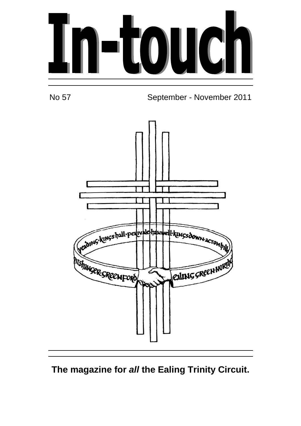



No 57 September - November 2011



# **The magazine for all the Ealing Trinity Circuit.**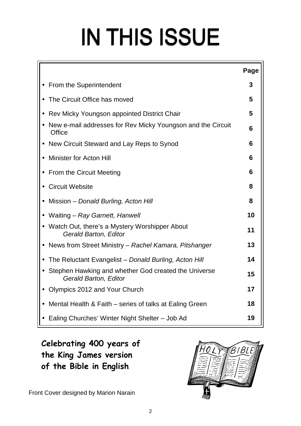# IN THIS ISSUE

|           |                                                                                        | Page |
|-----------|----------------------------------------------------------------------------------------|------|
| $\bullet$ | <b>From the Superintendent</b>                                                         | 3    |
|           | The Circuit Office has moved                                                           | 5    |
|           | Rev Micky Youngson appointed District Chair                                            | 5    |
|           | New e-mail addresses for Rev Micky Youngson and the Circuit<br><b>Office</b>           | 6    |
|           | New Circuit Steward and Lay Reps to Synod                                              | 6    |
|           | <b>Minister for Acton Hill</b>                                                         | 6    |
|           | From the Circuit Meeting                                                               | 6    |
|           | <b>Circuit Website</b>                                                                 | 8    |
|           | Mission - Donald Burling, Acton Hill                                                   | 8    |
|           | Waiting – Ray Garnett, Hanwell                                                         | 10   |
|           | • Watch Out, there's a Mystery Worshipper About<br>Gerald Barton, Editor               | 11   |
|           | • News from Street Ministry – Rachel Kamara, Pitshanger                                | 13   |
|           | The Reluctant Evangelist - Donald Burling, Acton Hill                                  | 14   |
|           | • Stephen Hawking and whether God created the Universe<br><b>Gerald Barton, Editor</b> | 15   |
| $\bullet$ | Olympics 2012 and Your Church                                                          | 17   |
|           | Mental Health & Faith – series of talks at Ealing Green                                | 18   |
|           | • Ealing Churches' Winter Night Shelter - Job Ad                                       | 19   |

**Celebrating 400 years of the King James version of the Bible in English** 

Front Cover designed by Marion Narain

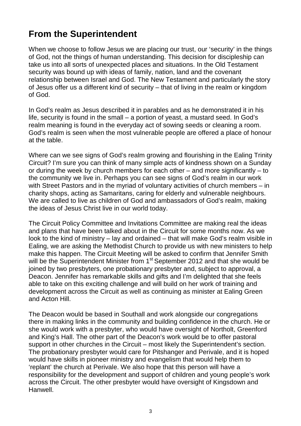# **From the Superintendent**

When we choose to follow Jesus we are placing our trust, our 'security' in the things of God, not the things of human understanding. This decision for discipleship can take us into all sorts of unexpected places and situations. In the Old Testament security was bound up with ideas of family, nation, land and the covenant relationship between Israel and God. The New Testament and particularly the story of Jesus offer us a different kind of security – that of living in the realm or kingdom of God.

In God's realm as Jesus described it in parables and as he demonstrated it in his life, security is found in the small – a portion of yeast, a mustard seed. In God's realm meaning is found in the everyday act of sowing seeds or cleaning a room. God's realm is seen when the most vulnerable people are offered a place of honour at the table.

Where can we see signs of God's realm growing and flourishing in the Ealing Trinity Circuit? I'm sure you can think of many simple acts of kindness shown on a Sunday or during the week by church members for each other – and more significantly – to the community we live in. Perhaps you can see signs of God's realm in our work with Street Pastors and in the myriad of voluntary activities of church members – in charity shops, acting as Samaritans, caring for elderly and vulnerable neighbours. We are called to live as children of God and ambassadors of God's realm, making the ideas of Jesus Christ live in our world today.

The Circuit Policy Committee and Invitations Committee are making real the ideas and plans that have been talked about in the Circuit for some months now. As we look to the kind of ministry – lay and ordained – that will make God's realm visible in Ealing, we are asking the Methodist Church to provide us with new ministers to help make this happen. The Circuit Meeting will be asked to confirm that Jennifer Smith will be the Superintendent Minister from 1<sup>st</sup> September 2012 and that she would be joined by two presbyters, one probationary presbyter and, subject to approval, a Deacon. Jennifer has remarkable skills and gifts and I'm delighted that she feels able to take on this exciting challenge and will build on her work of training and development across the Circuit as well as continuing as minister at Ealing Green and Acton Hill.

The Deacon would be based in Southall and work alongside our congregations there in making links in the community and building confidence in the church. He or she would work with a presbyter, who would have oversight of Northolt, Greenford and King's Hall. The other part of the Deacon's work would be to offer pastoral support in other churches in the Circuit – most likely the Superintendent's section. The probationary presbyter would care for Pitshanger and Perivale, and it is hoped would have skills in pioneer ministry and evangelism that would help them to 'replant' the church at Perivale. We also hope that this person will have a responsibility for the development and support of children and young people's work across the Circuit. The other presbyter would have oversight of Kingsdown and Hanwell.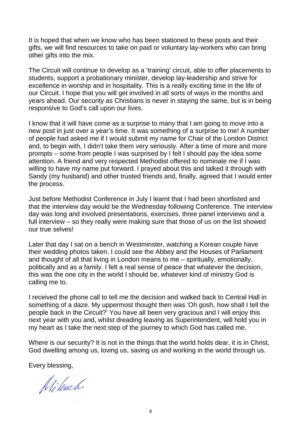It is hoped that when we know who has been stationed to these posts and their gifts, we will find resources to take on paid or voluntary lay-workers who can bring other gifts into the mix.

The Circuit will continue to develop as a 'training' circuit, able to offer placements to students, support a probationary minister, develop lay-leadership and strive for excellence in worship and in hospitality. This is a really exciting time in the life of our Circuit. I hope that you will get involved in all sorts of ways in the months and years ahead. Our security as Christians is never in staying the same, but is in being responsive to God's call upon our lives.

I know that it will have come as a surprise to many that I am going to move into a new post in just over a year's time. It was something of a surprise to me! A number of people had asked me if I would submit my name for Chair of the London District and, to begin with, I didn't take them very seriously. After a time of more and more prompts – some from people I was surprised by I felt I should pay the idea some attention. A friend and very respected Methodist offered to nominate me if I was willing to have my name put forward. I prayed about this and talked it through with Sandy (my husband) and other trusted friends and, finally, agreed that I would enter the process.

Just before Methodist Conference in July I learnt that I had been shortlisted and that the interview day would be the Wednesday following Conference. The interview day was long and involved presentations, exercises, three panel interviews and a full interview – so they really were making sure that those of us on the list showed our true selves!

Later that day I sat on a bench in Westminster, watching a Korean couple have their wedding photos taken. I could see the Abbey and the Houses of Parliament and thought of all that living in London means to me – spiritually, emotionally, politically and as a family. I felt a real sense of peace that whatever the decision, this was the one city in the world I should be, whatever kind of ministry God is calling me to.

I received the phone call to tell me the decision and walked back to Central Hall in something of a daze. My uppermost thought then was 'Oh gosh, how shall I tell the people back in the Circuit?' You have all been very gracious and I will enjoy this next year with you and, whilst dreading leaving as Superintendent, will hold you in my heart as I take the next step of the journey to which God has called me.

Where is our security? It is not in the things that the world holds dear, it is in Christ, God dwelling among us, loving us, saving us and working in the world through us.

Every blessing,

Nihach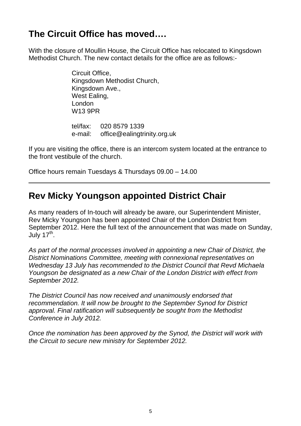# **The Circuit Office has moved….**

With the closure of Moullin House, the Circuit Office has relocated to Kingsdown Methodist Church. The new contact details for the office are as follows:-

> Circuit Office, Kingsdown Methodist Church, Kingsdown Ave., West Ealing, London W13 9PR

tel/fax: 020 8579 1339 e-mail: office@ealingtrinity.org.uk

If you are visiting the office, there is an intercom system located at the entrance to the front vestibule of the church.

Office hours remain Tuesdays & Thursdays 09.00 – 14.00

# **Rev Micky Youngson appointed District Chair**

As many readers of In-touch will already be aware, our Superintendent Minister, Rev Micky Youngson has been appointed Chair of the London District from September 2012. Here the full text of the announcement that was made on Sunday, July 17<sup>th</sup>.

As part of the normal processes involved in appointing a new Chair of District, the District Nominations Committee, meeting with connexional representatives on Wednesday 13 July has recommended to the District Council that Revd Michaela Youngson be designated as a new Chair of the London District with effect from September 2012.

The District Council has now received and unanimously endorsed that recommendation. It will now be brought to the September Synod for District approval. Final ratification will subsequently be sought from the Methodist Conference in July 2012.

Once the nomination has been approved by the Synod, the District will work with the Circuit to secure new ministry for September 2012.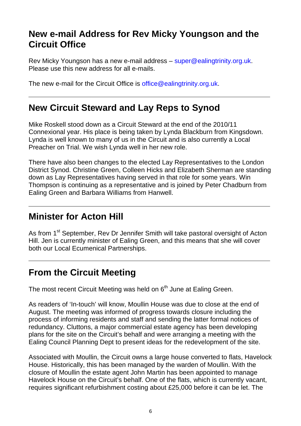## **New e-mail Address for Rev Micky Youngson and the Circuit Office**

Rev Micky Youngson has a new e-mail address – super@ealingtrinity.org.uk. Please use this new address for all e-mails.

The new e-mail for the Circuit Office is office@ealingtrinity.org.uk.

## **New Circuit Steward and Lay Reps to Synod**

Mike Roskell stood down as a Circuit Steward at the end of the 2010/11 Connexional year. His place is being taken by Lynda Blackburn from Kingsdown. Lynda is well known to many of us in the Circuit and is also currently a Local Preacher on Trial. We wish Lynda well in her new role.

There have also been changes to the elected Lay Representatives to the London District Synod. Christine Green, Colleen Hicks and Elizabeth Sherman are standing down as Lay Representatives having served in that role for some years. Win Thompson is continuing as a representative and is joined by Peter Chadburn from Ealing Green and Barbara Williams from Hanwell.

# **Minister for Acton Hill**

As from 1<sup>st</sup> September, Rev Dr Jennifer Smith will take pastoral oversight of Acton Hill. Jen is currently minister of Ealing Green, and this means that she will cover both our Local Ecumenical Partnerships.

# **From the Circuit Meeting**

The most recent Circuit Meeting was held on  $6<sup>th</sup>$  June at Ealing Green.

As readers of 'In-touch' will know, Moullin House was due to close at the end of August. The meeting was informed of progress towards closure including the process of informing residents and staff and sending the latter formal notices of redundancy. Cluttons, a major commercial estate agency has been developing plans for the site on the Circuit's behalf and were arranging a meeting with the Ealing Council Planning Dept to present ideas for the redevelopment of the site.

Associated with Moullin, the Circuit owns a large house converted to flats, Havelock House. Historically, this has been managed by the warden of Moullin. With the closure of Moullin the estate agent John Martin has been appointed to manage Havelock House on the Circuit's behalf. One of the flats, which is currently vacant, requires significant refurbishment costing about £25,000 before it can be let. The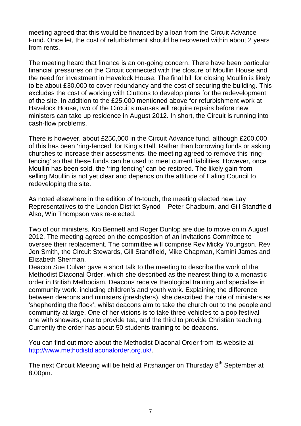meeting agreed that this would be financed by a loan from the Circuit Advance Fund. Once let, the cost of refurbishment should be recovered within about 2 years from rents.

The meeting heard that finance is an on-going concern. There have been particular financial pressures on the Circuit connected with the closure of Moullin House and the need for investment in Havelock House. The final bill for closing Moullin is likely to be about £30,000 to cover redundancy and the cost of securing the building. This excludes the cost of working with Cluttons to develop plans for the redevelopment of the site. In addition to the £25,000 mentioned above for refurbishment work at Havelock House, two of the Circuit's manses will require repairs before new ministers can take up residence in August 2012. In short, the Circuit is running into cash-flow problems.

There is however, about £250,000 in the Circuit Advance fund, although £200,000 of this has been 'ring-fenced' for King's Hall. Rather than borrowing funds or asking churches to increase their assessments, the meeting agreed to remove this 'ringfencing' so that these funds can be used to meet current liabilities. However, once Moullin has been sold, the 'ring-fencing' can be restored. The likely gain from selling Moullin is not yet clear and depends on the attitude of Ealing Council to redeveloping the site.

As noted elsewhere in the edition of In-touch, the meeting elected new Lay Representatives to the London District Synod – Peter Chadburn, and Gill Standfield Also, Win Thompson was re-elected.

Two of our ministers, Kip Bennett and Roger Dunlop are due to move on in August 2012. The meeting agreed on the composition of an Invitations Committee to oversee their replacement. The committee will comprise Rev Micky Youngson, Rev Jen Smith, the Circuit Stewards, Gill Standfield, Mike Chapman, Kamini James and Elizabeth Sherman.

Deacon Sue Culver gave a short talk to the meeting to describe the work of the Methodist Diaconal Order, which she described as the nearest thing to a monastic order in British Methodism. Deacons receive theological training and specialise in community work, including children's and youth work. Explaining the difference between deacons and ministers (presbyters), she described the role of ministers as 'shepherding the flock', whilst deacons aim to take the church out to the people and community at large. One of her visions is to take three vehicles to a pop festival – one with showers, one to provide tea, and the third to provide Christian teaching. Currently the order has about 50 students training to be deacons.

You can find out more about the Methodist Diaconal Order from its website at http://www.methodistdiaconalorder.org.uk/.

The next Circuit Meeting will be held at Pitshanger on Thursday 8<sup>th</sup> September at 8.00pm.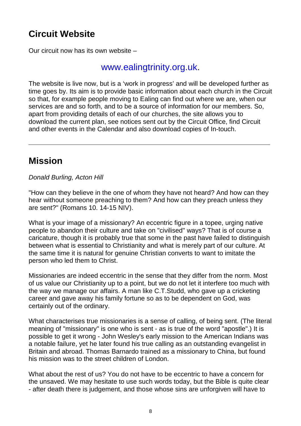# **Circuit Website**

Our circuit now has its own website –

## www.ealingtrinity.org.uk.

The website is live now, but is a 'work in progress' and will be developed further as time goes by. Its aim is to provide basic information about each church in the Circuit so that, for example people moving to Ealing can find out where we are, when our services are and so forth, and to be a source of information for our members. So, apart from providing details of each of our churches, the site allows you to download the current plan, see notices sent out by the Circuit Office, find Circuit and other events in the Calendar and also download copies of In-touch.

# **Mission**

Donald Burling, Acton Hill

"How can they believe in the one of whom they have not heard? And how can they hear without someone preaching to them? And how can they preach unless they are sent?" (Romans 10. 14-15 NIV).

What is your image of a missionary? An eccentric figure in a topee, urging native people to abandon their culture and take on "civilised" ways? That is of course a caricature, though it is probably true that some in the past have failed to distinguish between what is essential to Christianity and what is merely part of our culture. At the same time it is natural for genuine Christian converts to want to imitate the person who led them to Christ.

Missionaries are indeed eccentric in the sense that they differ from the norm. Most of us value our Christianity up to a point, but we do not let it interfere too much with the way we manage our affairs. A man like C.T.Studd, who gave up a cricketing career and gave away his family fortune so as to be dependent on God, was certainly out of the ordinary.

What characterises true missionaries is a sense of calling, of being sent. (The literal meaning of "missionary" is one who is sent - as is true of the word "apostle".) It is possible to get it wrong - John Wesley's early mission to the American Indians was a notable failure, yet he later found his true calling as an outstanding evangelist in Britain and abroad. Thomas Barnardo trained as a missionary to China, but found his mission was to the street children of London.

What about the rest of us? You do not have to be eccentric to have a concern for the unsaved. We may hesitate to use such words today, but the Bible is quite clear - after death there is judgement, and those whose sins are unforgiven will have to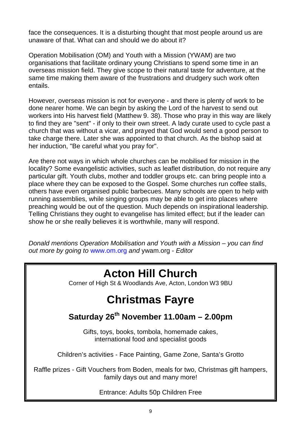face the consequences. It is a disturbing thought that most people around us are unaware of that. What can and should we do about it?

Operation Mobilisation (OM) and Youth with a Mission (YWAM) are two organisations that facilitate ordinary young Christians to spend some time in an overseas mission field. They give scope to their natural taste for adventure, at the same time making them aware of the frustrations and drudgery such work often entails.

However, overseas mission is not for everyone - and there is plenty of work to be done nearer home. We can begin by asking the Lord of the harvest to send out workers into His harvest field (Matthew 9. 38). Those who pray in this way are likely to find they are "sent" - if only to their own street. A lady curate used to cycle past a church that was without a vicar, and prayed that God would send a good person to take charge there. Later she was appointed to that church. As the bishop said at her induction, "Be careful what you pray for".

Are there not ways in which whole churches can be mobilised for mission in the locality? Some evangelistic activities, such as leaflet distribution, do not require any particular gift. Youth clubs, mother and toddler groups etc. can bring people into a place where they can be exposed to the Gospel. Some churches run coffee stalls, others have even organised public barbecues. Many schools are open to help with running assemblies, while singing groups may be able to get into places where preaching would be out of the question. Much depends on inspirational leadership. Telling Christians they ought to evangelise has limited effect; but if the leader can show he or she really believes it is worthwhile, many will respond.

Donald mentions Operation Mobilisation and Youth with a Mission – you can find out more by going to www.om.org and ywam.org - Editor

# **Acton Hill Church**

Corner of High St & Woodlands Ave, Acton, London W3 9BU

# **Christmas Fayre**

## **Saturday 26th November 11.00am – 2.00pm**

Gifts, toys, books, tombola, homemade cakes, international food and specialist goods

Children's activities - Face Painting, Game Zone, Santa's Grotto

Raffle prizes - Gift Vouchers from Boden, meals for two, Christmas gift hampers, family days out and many more!

Entrance: Adults 50p Children Free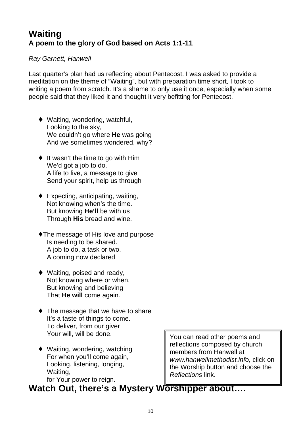## **Waiting A poem to the glory of God based on Acts 1:1-11**

#### Ray Garnett, Hanwell

Last quarter's plan had us reflecting about Pentecost. I was asked to provide a meditation on the theme of "Waiting", but with preparation time short, I took to writing a poem from scratch. It's a shame to only use it once, especially when some people said that they liked it and thought it very befitting for Pentecost.

- ♦ Waiting, wondering, watchful, Looking to the sky, We couldn't go where **He** was going And we sometimes wondered, why?
- $\bullet$  It wasn't the time to go with Him We'd got a job to do. A life to live, a message to give Send your spirit, help us through
- $\bullet$  Expecting, anticipating, waiting, Not knowing when's the time. But knowing **He'll** be with us Through **His** bread and wine.
- The message of His love and purpose Is needing to be shared. A job to do, a task or two. A coming now declared
- $\blacklozenge$  Waiting, poised and ready, Not knowing where or when, But knowing and believing That **He will** come again.
- $\bullet$  The message that we have to share It's a taste of things to come. To deliver, from our giver Your will, will be done.
- ♦ Waiting, wondering, watching For when you'll come again, Looking, listening, longing, Waiting, for Your power to reign.

You can read other poems and reflections composed by church members from Hanwell at www.hanwellmethodist.info, click on the Worship button and choose the Reflections link.

# Watch Out, there's a Mystery Worshipper about....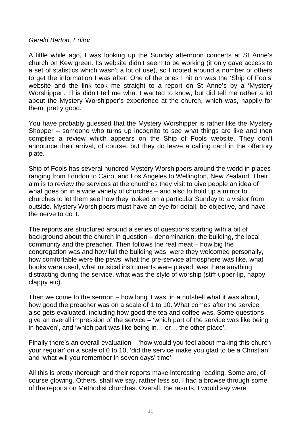#### Gerald Barton, Editor

A little while ago, I was looking up the Sunday afternoon concerts at St Anne's church on Kew green. Its website didn't seem to be working (it only gave access to a set of statistics which wasn't a lot of use), so I rooted around a number of others to get the information I was after. One of the ones I hit on was the 'Ship of Fools' website and the link took me straight to a report on St Anne's by a 'Mystery Worshipper'. This didn't tell me what I wanted to know, but did tell me rather a lot about the Mystery Worshipper's experience at the church, which was, happily for them, pretty good.

You have probably guessed that the Mystery Worshipper is rather like the Mystery Shopper – someone who turns up incognito to see what things are like and then compiles a review which appears on the Ship of Fools website. They don't announce their arrival, of course, but they do leave a calling card in the offertory plate.

Ship of Fools has several hundred Mystery Worshippers around the world in places ranging from London to Cairo, and Los Angeles to Wellington, New Zealand. Their aim is to review the services at the churches they visit to give people an idea of what goes on in a wide variety of churches – and also to hold up a mirror to churches to let them see how they looked on a particular Sunday to a visitor from outside. Mystery Worshippers must have an eye for detail, be objective, and have the nerve to do it.

The reports are structured around a series of questions starting with a bit of background about the church in question – denomination, the building, the local community and the preacher. Then follows the real meat – how big the congregation was and how full the building was, were they welcomed personally, how comfortable were the pews, what the pre-service atmosphere was like, what books were used, what musical instruments were played, was there anything distracting during the service, what was the style of worship (stiff-upper-lip, happy clappy etc).

Then we come to the sermon – how long it was, in a nutshell what it was about, how good the preacher was on a scale of 1 to 10. What comes after the service also gets evaluated, including how good the tea and coffee was. Some questions give an overall impression of the service – 'which part of the service was like being in heaven', and 'which part was like being in… er… the other place'.

Finally there's an overall evaluation – 'how would you feel about making this church your regular' on a scale of 0 to 10, 'did the service make you glad to be a Christian' and 'what will you remember in seven days' time'.

All this is pretty thorough and their reports make interesting reading. Some are, of course glowing. Others, shall we say, rather less so. I had a browse through some of the reports on Methodist churches. Overall, the results, I would say were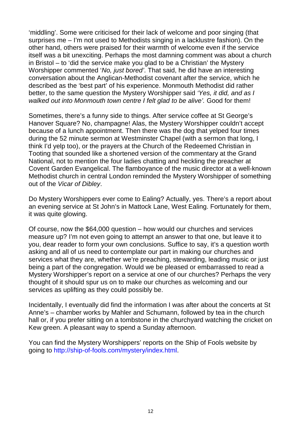'middling'. Some were criticised for their lack of welcome and poor singing (that surprises me – I'm not used to Methodists singing in a lacklustre fashion). On the other hand, others were praised for their warmth of welcome even if the service itself was a bit unexciting. Perhaps the most damning comment was about a church in Bristol – to 'did the service make you glad to be a Christian' the Mystery Worshipper commented 'No, just bored'. That said, he did have an interesting conversation about the Anglican-Methodist covenant after the service, which he described as the 'best part' of his experience. Monmouth Methodist did rather better, to the same question the Mystery Worshipper said 'Yes, it did, and as I walked out into Monmouth town centre I felt glad to be alive'. Good for them!

Sometimes, there's a funny side to things. After service coffee at St George's Hanover Square? No, champagne! Alas, the Mystery Worshipper couldn't accept because of a lunch appointment. Then there was the dog that yelped four times during the 52 minute sermon at Westminster Chapel (with a sermon that long, I think I'd yelp too), or the prayers at the Church of the Redeemed Christian in Tooting that sounded like a shortened version of the commentary at the Grand National, not to mention the four ladies chatting and heckling the preacher at Covent Garden Evangelical. The flamboyance of the music director at a well-known Methodist church in central London reminded the Mystery Worshipper of something out of the Vicar of Dibley.

Do Mystery Worshippers ever come to Ealing? Actually, yes. There's a report about an evening service at St John's in Mattock Lane, West Ealing. Fortunately for them, it was quite glowing.

Of course, now the \$64,000 question – how would our churches and services measure up? I'm not even going to attempt an answer to that one, but leave it to you, dear reader to form your own conclusions. Suffice to say, it's a question worth asking and all of us need to contemplate our part in making our churches and services what they are, whether we're preaching, stewarding, leading music or just being a part of the congregation. Would we be pleased or embarrassed to read a Mystery Worshipper's report on a service at one of our churches? Perhaps the very thought of it should spur us on to make our churches as welcoming and our services as uplifting as they could possibly be.

Incidentally, I eventually did find the information I was after about the concerts at St Anne's – chamber works by Mahler and Schumann, followed by tea in the church hall or, if you prefer sitting on a tombstone in the churchyard watching the cricket on Kew green. A pleasant way to spend a Sunday afternoon.

You can find the Mystery Worshippers' reports on the Ship of Fools website by going to http://ship-of-fools.com/mystery/index.html.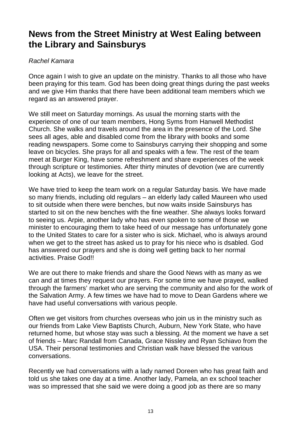## **News from the Street Ministry at West Ealing between the Library and Sainsburys**

#### Rachel Kamara

Once again I wish to give an update on the ministry. Thanks to all those who have been praying for this team. God has been doing great things during the past weeks and we give Him thanks that there have been additional team members which we regard as an answered prayer.

We still meet on Saturday mornings. As usual the morning starts with the experience of one of our team members, Hong Syms from Hanwell Methodist Church. She walks and travels around the area in the presence of the Lord. She sees all ages, able and disabled come from the library with books and some reading newspapers. Some come to Sainsburys carrying their shopping and some leave on bicycles. She prays for all and speaks with a few. The rest of the team meet at Burger King, have some refreshment and share experiences of the week through scripture or testimonies. After thirty minutes of devotion (we are currently looking at Acts), we leave for the street.

We have tried to keep the team work on a regular Saturday basis. We have made so many friends, including old regulars – an elderly lady called Maureen who used to sit outside when there were benches, but now waits inside Sainsburys has started to sit on the new benches with the fine weather. She always looks forward to seeing us. Arpie, another lady who has even spoken to some of those we minister to encouraging them to take heed of our message has unfortunately gone to the United States to care for a sister who is sick. Michael, who is always around when we get to the street has asked us to pray for his niece who is dsabled. God has answered our prayers and she is doing well getting back to her normal activities. Praise God!!

We are out there to make friends and share the Good News with as many as we can and at times they request our prayers. For some time we have prayed, walked through the farmers' market who are serving the community and also for the work of the Salvation Army. A few times we have had to move to Dean Gardens where we have had useful conversations with various people.

Often we get visitors from churches overseas who join us in the ministry such as our friends from Lake View Baptists Church, Auburn, New York State, who have returned home, but whose stay was such a blessing. At the moment we have a set of friends – Marc Randall from Canada, Grace Nissley and Ryan Schiavo from the USA. Their personal testimonies and Christian walk have blessed the various conversations.

Recently we had conversations with a lady named Doreen who has great faith and told us she takes one day at a time. Another lady, Pamela, an ex school teacher was so impressed that she said we were doing a good job as there are so many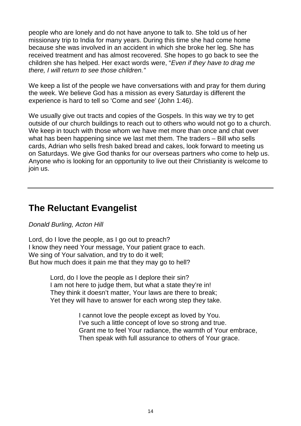people who are lonely and do not have anyone to talk to. She told us of her missionary trip to India for many years. During this time she had come home because she was involved in an accident in which she broke her leg. She has received treatment and has almost recovered. She hopes to go back to see the children she has helped. Her exact words were, "Even if they have to drag me there, I will return to see those children."

We keep a list of the people we have conversations with and pray for them during the week. We believe God has a mission as every Saturday is different the experience is hard to tell so 'Come and see' (John 1:46).

We usually give out tracts and copies of the Gospels. In this way we try to get outside of our church buildings to reach out to others who would not go to a church. We keep in touch with those whom we have met more than once and chat over what has been happening since we last met them. The traders – Bill who sells cards, Adrian who sells fresh baked bread and cakes, look forward to meeting us on Saturdays. We give God thanks for our overseas partners who come to help us. Anyone who is looking for an opportunity to live out their Christianity is welcome to join us.

## **The Reluctant Evangelist**

#### Donald Burling, Acton Hill

Lord, do I love the people, as I go out to preach? I know they need Your message, Your patient grace to each. We sing of Your salvation, and try to do it well; But how much does it pain me that they may go to hell?

> Lord, do I love the people as I deplore their sin? I am not here to judge them, but what a state they're in! They think it doesn't matter, Your laws are there to break; Yet they will have to answer for each wrong step they take.

> > I cannot love the people except as loved by You. I've such a little concept of love so strong and true. Grant me to feel Your radiance, the warmth of Your embrace, Then speak with full assurance to others of Your grace.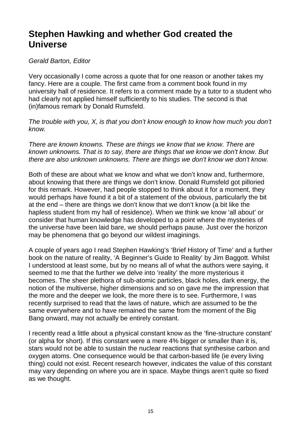## **Stephen Hawking and whether God created the Universe**

#### Gerald Barton, Editor

Very occasionally I come across a quote that for one reason or another takes my fancy. Here are a couple. The first came from a comment book found in my university hall of residence. It refers to a comment made by a tutor to a student who had clearly not applied himself sufficiently to his studies. The second is that (in)famous remark by Donald Rumsfeld.

The trouble with you, X, is that you don't know enough to know how much you don't know.

There are known knowns. These are things we know that we know. There are known unknowns. That is to say, there are things that we know we don't know. But there are also unknown unknowns. There are things we don't know we don't know.

Both of these are about what we know and what we don't know and, furthermore, about knowing that there are things we don't know. Donald Rumsfeld got pilloried for this remark. However, had people stopped to think about it for a moment, they would perhaps have found it a bit of a statement of the obvious, particularly the bit at the end – there are things we don't know that we don't know (a bit like the hapless student from my hall of residence). When we think we know 'all about' or consider that human knowledge has developed to a point where the mysteries of the universe have been laid bare, we should perhaps pause. Just over the horizon may be phenomena that go beyond our wildest imaginings.

A couple of years ago I read Stephen Hawking's 'Brief History of Time' and a further book on the nature of reality, 'A Beginner's Guide to Reality' by Jim Baggott. Whilst I understood at least some, but by no means all of what the authors were saying, it seemed to me that the further we delve into 'reality' the more mysterious it becomes. The sheer plethora of sub-atomic particles, black holes, dark energy, the notion of the multiverse, higher dimensions and so on gave me the impression that the more and the deeper we look, the more there is to see. Furthermore, I was recently surprised to read that the laws of nature, which are assumed to be the same everywhere and to have remained the same from the moment of the Big Bang onward, may not actually be entirely constant.

I recently read a little about a physical constant know as the 'fine-structure constant' (or alpha for short). If this constant were a mere 4% bigger or smaller than it is, stars would not be able to sustain the nuclear reactions that synthesise carbon and oxygen atoms. One consequence would be that carbon-based life (ie every living thing) could not exist. Recent research however, indicates the value of this constant may vary depending on where you are in space. Maybe things aren't quite so fixed as we thought.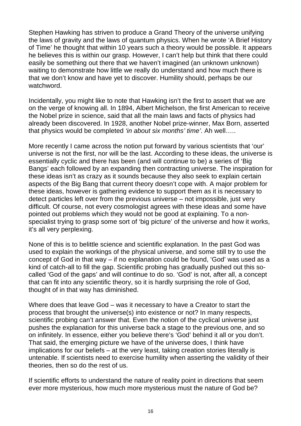Stephen Hawking has striven to produce a Grand Theory of the universe unifying the laws of gravity and the laws of quantum physics. When he wrote 'A Brief History of Time' he thought that within 10 years such a theory would be possible. It appears he believes this is within our grasp. However, I can't help but think that there could easily be something out there that we haven't imagined (an unknown unknown) waiting to demonstrate how little we really do understand and how much there is that we don't know and have yet to discover. Humility should, perhaps be our watchword.

Incidentally, you might like to note that Hawking isn't the first to assert that we are on the verge of knowing all. In 1894, Albert Michelson, the first American to receive the Nobel prize in science, said that all the main laws and facts of physics had already been discovered. In 1928, another Nobel prize-winner, Max Born, asserted that physics would be completed 'in about six months' time'. Ah well.....

More recently I came across the notion put forward by various scientists that 'our' universe is not the first, nor will be the last. According to these ideas, the universe is essentially cyclic and there has been (and will continue to be) a series of 'Big Bangs' each followed by an expanding then contracting universe. The inspiration for these ideas isn't as crazy as it sounds because they also seek to explain certain aspects of the Big Bang that current theory doesn't cope with. A major problem for these ideas, however is gathering evidence to support them as it is necessary to detect particles left over from the previous universe – not impossible, just very difficult. Of course, not every cosmologist agrees with these ideas and some have pointed out problems which they would not be good at explaining. To a nonspecialist trying to grasp some sort of 'big picture' of the universe and how it works, it's all very perplexing.

None of this is to belittle science and scientific explanation. In the past God was used to explain the workings of the physical universe, and some still try to use the concept of God in that way – if no explanation could be found, 'God' was used as a kind of catch-all to fill the gap. Scientific probing has gradually pushed out this socalled 'God of the gaps' and will continue to do so. 'God' is not, after all, a concept that can fit into any scientific theory, so it is hardly surprising the role of God, thought of in that way has diminished.

Where does that leave God – was it necessary to have a Creator to start the process that brought the universe(s) into existence or not? In many respects, scientific probing can't answer that. Even the notion of the cyclical universe just pushes the explanation for this universe back a stage to the previous one, and so on infinitely. In essence, either you believe there's 'God' behind it all or you don't. That said, the emerging picture we have of the universe does, I think have implications for our beliefs – at the very least, taking creation stories literally is untenable. If scientists need to exercise humility when asserting the validity of their theories, then so do the rest of us.

If scientific efforts to understand the nature of reality point in directions that seem ever more mysterious, how much more mysterious must the nature of God be?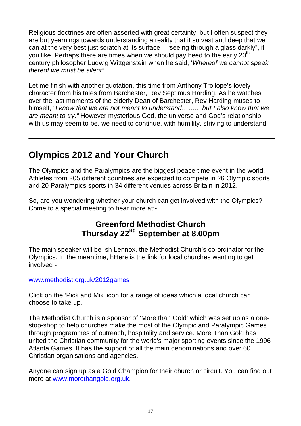Religious doctrines are often asserted with great certainty, but I often suspect they are but yearnings towards understanding a reality that it so vast and deep that we can at the very best just scratch at its surface – "seeing through a glass darkly", if you like. Perhaps there are times when we should pay heed to the early  $20<sup>th</sup>$ century philosopher Ludwig Wittgenstein when he said, 'Whereof we cannot speak, thereof we must be silent".

Let me finish with another quotation, this time from Anthony Trollope's lovely character from his tales from Barchester, Rev Septimus Harding. As he watches over the last moments of the elderly Dean of Barchester, Rev Harding muses to himself, "I know that we are not meant to understand........ but I also know that we are meant to try." However mysterious God, the universe and God's relationship with us may seem to be, we need to continue, with humility, striving to understand.

# **Olympics 2012 and Your Church**

The Olympics and the Paralympics are the biggest peace-time event in the world. Athletes from 205 different countries are expected to compete in 26 Olympic sports and 20 Paralympics sports in 34 different venues across Britain in 2012.

So, are you wondering whether your church can get involved with the Olympics? Come to a special meeting to hear more at:-

## **Greenford Methodist Church Thursday 22nd September at 8.00pm**

The main speaker will be Ish Lennox, the Methodist Church's co-ordinator for the Olympics. In the meantime, hHere is the link for local churches wanting to get involved -

#### www.methodist.org.uk/2012games

Click on the 'Pick and Mix' icon for a range of ideas which a local church can choose to take up.

The Methodist Church is a sponsor of 'More than Gold' which was set up as a onestop-shop to help churches make the most of the Olympic and Paralympic Games through programmes of outreach, hospitality and service. More Than Gold has united the Christian community for the world's major sporting events since the 1996 Atlanta Games. It has the support of all the main denominations and over 60 Christian organisations and agencies.

Anyone can sign up as a Gold Champion for their church or circuit. You can find out more at www.morethangold.org.uk.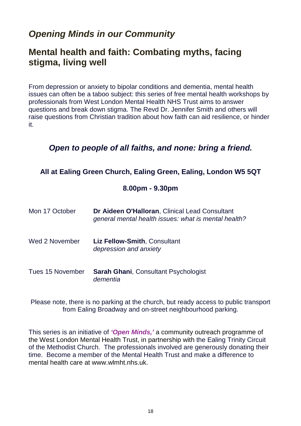# **Opening Minds in our Community**

## **Mental health and faith: Combating myths, facing stigma, living well**

From depression or anxiety to bipolar conditions and dementia, mental health issues can often be a taboo subject: this series of free mental health workshops by professionals from West London Mental Health NHS Trust aims to answer questions and break down stigma. The Revd Dr. Jennifer Smith and others will raise questions from Christian tradition about how faith can aid resilience, or hinder it.

### **Open to people of all faiths, and none: bring a friend.**

#### **All at Ealing Green Church, Ealing Green, Ealing, London W5 5QT**

#### **8.00pm - 9.30pm**

| Mon 17 October   | Dr Aideen O'Halloran, Clinical Lead Consultant<br>general mental health issues: what is mental health? |
|------------------|--------------------------------------------------------------------------------------------------------|
| Wed 2 November   | Liz Fellow-Smith, Consultant<br>depression and anxiety                                                 |
| Tues 15 November | <b>Sarah Ghani, Consultant Psychologist</b><br>dementia                                                |

Please note, there is no parking at the church, but ready access to public transport from Ealing Broadway and on-street neighbourhood parking.

This series is an initiative of **'Open Minds,'** a community outreach programme of the West London Mental Health Trust, in partnership with the Ealing Trinity Circuit of the Methodist Church. The professionals involved are generously donating their time. Become a member of the Mental Health Trust and make a difference to mental health care at www.wlmht.nhs.uk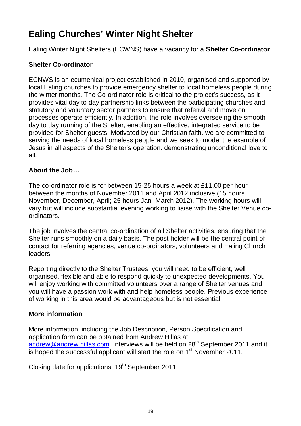# **Ealing Churches' Winter Night Shelter**

Ealing Winter Night Shelters (ECWNS) have a vacancy for a **Shelter Co-ordinator**.

#### **Shelter Co-ordinator**

ECNWS is an ecumenical project established in 2010, organised and supported by local Ealing churches to provide emergency shelter to local homeless people during the winter months. The Co-ordinator role is critical to the project's success, as it provides vital day to day partnership links between the participating churches and statutory and voluntary sector partners to ensure that referral and move on processes operate efficiently. In addition, the role involves overseeing the smooth day to day running of the Shelter, enabling an effective, integrated service to be provided for Shelter guests. Motivated by our Christian faith. we are committed to serving the needs of local homeless people and we seek to model the example of Jesus in all aspects of the Shelter's operation. demonstrating unconditional love to all.

#### **About the Job…**

The co-ordinator role is for between 15-25 hours a week at £11.00 per hour between the months of November 2011 and April 2012 inclusive (15 hours November, December, April; 25 hours Jan- March 2012). The working hours will vary but will include substantial evening working to liaise with the Shelter Venue coordinators.

The job involves the central co-ordination of all Shelter activities, ensuring that the Shelter runs smoothly on a daily basis. The post holder will be the central point of contact for referring agencies, venue co-ordinators, volunteers and Ealing Church leaders.

Reporting directly to the Shelter Trustees, you will need to be efficient, well organised, flexible and able to respond quickly to unexpected developments. You will enjoy working with committed volunteers over a range of Shelter venues and you will have a passion work with and help homeless people. Previous experience of working in this area would be advantageous but is not essential.

#### **More information**

More information, including the Job Description, Person Specification and application form can be obtained from Andrew Hillas at andrew@andrew.hillas.com. Interviews will be held on 28<sup>th</sup> September 2011 and it is hoped the successful applicant will start the role on 1<sup>st</sup> November 2011.

Closing date for applications: 19<sup>th</sup> September 2011.